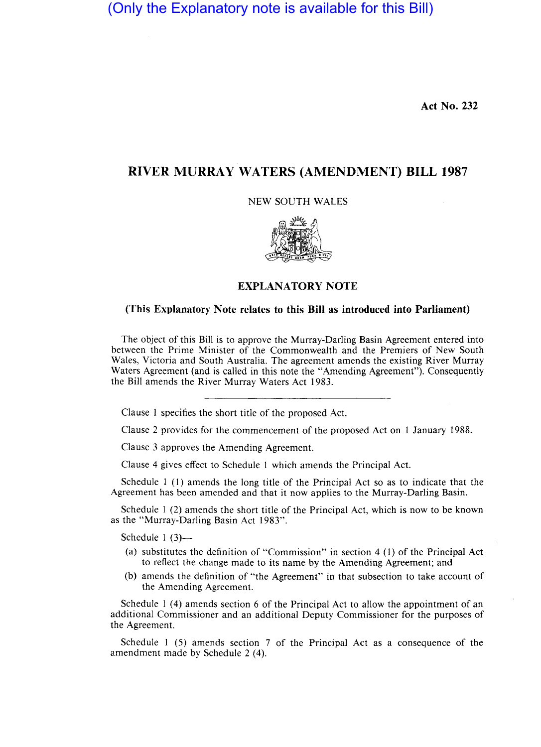(Only the Explanatory note is available for this Bill)

**Act No. 232** 

## **RIVER MURRA Y WATERS (AMENDMENT) BILL 1987**

NEW SOUTH WALES



## **EXPLANATORY NOTE**

## **(This Explanatory Note relates to this Bill as introduced into Parliament)**

The object of this Bill is to approve the Murray-Darling Basin Agreement entered into between the Prime Minister of the Commonwealth and the Premiers of New South Wales, Victoria and South Australia. The agreement amends the existing River Murray Waters Agreement (and is called in this note the "Amending Agreement"). Consequently the Bill amends the River Murray Waters Act 1983.

Clause 1 specifies the short title of the proposed Act.

Clause 2 provides for the commencement of the proposed Act on 1 January 1988.

Clause 3 approves the Amending Agreement.

Clause 4 gives effect to Schedule 1 which amends the Principal Act.

Schedule I (I) amends the long title of the Principal Act so as to indicate that the Agreement has been amended and that it now applies to the Murray-Darling Basin.

Schedule I (2) amends the short title of the Principal Act, which is now to be known as the "Murray-Darling Basin Act 1983".

Schedule  $1(3)$ —

- (a) substitutes the definition of "Commission" in section 4 (I) of the Principal Act to reflect the change made to its name by the Amending Agreement; and
- (b) amends the definition of "the Agreement" in that subsection to take account of the Amending Agreement.

Schedule I (4) amends section 6 of the Principal Act to allow the appointment of an additional Commissioner and an additional Deputy Commissioner for the purposes of the Agreement.

Schedule I (5) amends section 7 of the Principal Act as a consequence of the amendment made by Schedule 2 (4).